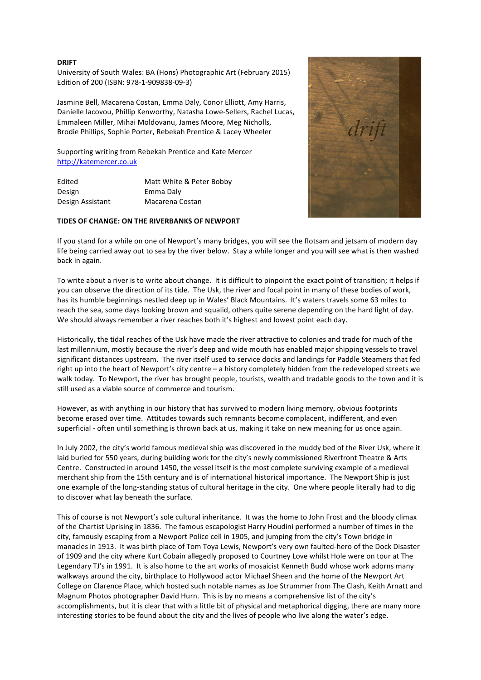## **DRIFT**

University of South Wales: BA (Hons) Photographic Art (February 2015) Edition of 200 (ISBN: 978-1-909838-09-3)

Jasmine Bell, Macarena Costan, Emma Daly, Conor Elliott, Amy Harris, Danielle Iacovou, Phillip Kenworthy, Natasha Lowe-Sellers, Rachel Lucas, Emmaleen Miller, Mihai Moldovanu, James Moore, Meg Nicholls, Brodie Phillips, Sophie Porter, Rebekah Prentice & Lacey Wheeler

Supporting writing from Rebekah Prentice and Kate Mercer http://katemercer.co.uk

| Edited           | Matt White & Peter Bobby |
|------------------|--------------------------|
| Design           | Emma Daly                |
| Design Assistant | Macarena Costan          |

## **TIDES OF CHANGE: ON THE RIVERBANKS OF NEWPORT**

If you stand for a while on one of Newport's many bridges, you will see the flotsam and jetsam of modern day life being carried away out to sea by the river below. Stay a while longer and you will see what is then washed back in again.

To write about a river is to write about change. It is difficult to pinpoint the exact point of transition; it helps if you can observe the direction of its tide. The Usk, the river and focal point in many of these bodies of work, has its humble beginnings nestled deep up in Wales' Black Mountains. It's waters travels some 63 miles to reach the sea, some days looking brown and squalid, others quite serene depending on the hard light of day. We should always remember a river reaches both it's highest and lowest point each day.

Historically, the tidal reaches of the Usk have made the river attractive to colonies and trade for much of the last millennium, mostly because the river's deep and wide mouth has enabled major shipping vessels to travel significant distances upstream. The river itself used to service docks and landings for Paddle Steamers that fed right up into the heart of Newport's city centre – a history completely hidden from the redeveloped streets we walk today. To Newport, the river has brought people, tourists, wealth and tradable goods to the town and it is still used as a viable source of commerce and tourism.

However, as with anything in our history that has survived to modern living memory, obvious footprints become erased over time. Attitudes towards such remnants become complacent, indifferent, and even superficial - often until something is thrown back at us, making it take on new meaning for us once again.

In July 2002, the city's world famous medieval ship was discovered in the muddy bed of the River Usk, where it laid buried for 550 years, during building work for the city's newly commissioned Riverfront Theatre & Arts Centre. Constructed in around 1450, the vessel itself is the most complete surviving example of a medieval merchant ship from the 15th century and is of international historical importance. The Newport Ship is just one example of the long-standing status of cultural heritage in the city. One where people literally had to dig to discover what lay beneath the surface.

This of course is not Newport's sole cultural inheritance. It was the home to John Frost and the bloody climax of the Chartist Uprising in 1836. The famous escapologist Harry Houdini performed a number of times in the city, famously escaping from a Newport Police cell in 1905, and jumping from the city's Town bridge in manacles in 1913. It was birth place of Tom Toya Lewis, Newport's very own faulted-hero of the Dock Disaster of 1909 and the city where Kurt Cobain allegedly proposed to Courtney Love whilst Hole were on tour at The Legendary TJ's in 1991. It is also home to the art works of mosaicist Kenneth Budd whose work adorns many walkways around the city, birthplace to Hollywood actor Michael Sheen and the home of the Newport Art College on Clarence Place, which hosted such notable names as Joe Strummer from The Clash, Keith Arnatt and Magnum Photos photographer David Hurn. This is by no means a comprehensive list of the city's accomplishments, but it is clear that with a little bit of physical and metaphorical digging, there are many more interesting stories to be found about the city and the lives of people who live along the water's edge.